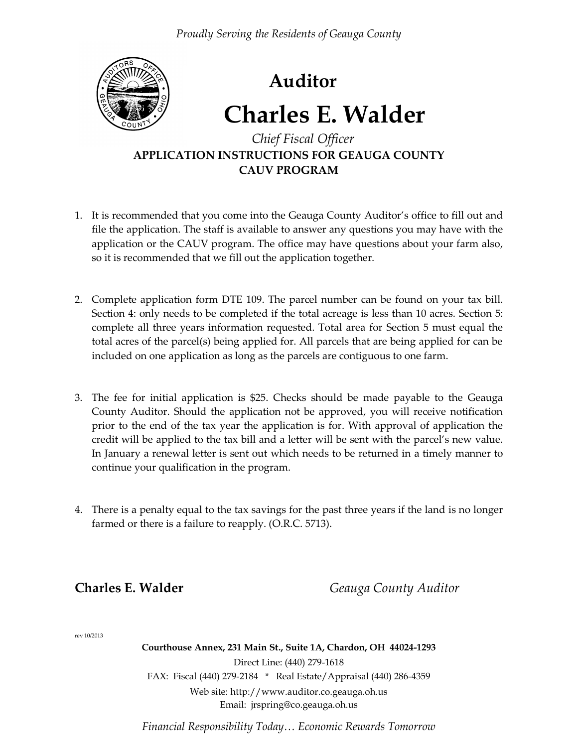

# **Auditor**

# **Charles E. Walder**

## *Chief Fiscal Officer* **APPLICATION INSTRUCTIONS FOR GEAUGA COUNTY CAUV PROGRAM**

- 1. It is recommended that you come into the Geauga County Auditor's office to fill out and file the application. The staff is available to answer any questions you may have with the application or the CAUV program. The office may have questions about your farm also, so it is recommended that we fill out the application together.
- 2. Complete application form DTE 109. The parcel number can be found on your tax bill. Section 4: only needs to be completed if the total acreage is less than 10 acres. Section 5: complete all three years information requested. Total area for Section 5 must equal the total acres of the parcel(s) being applied for. All parcels that are being applied for can be included on one application as long as the parcels are contiguous to one farm.
- 3. The fee for initial application is \$25. Checks should be made payable to the Geauga County Auditor. Should the application not be approved, you will receive notification prior to the end of the tax year the application is for. With approval of application the credit will be applied to the tax bill and a letter will be sent with the parcel's new value. In January a renewal letter is sent out which needs to be returned in a timely manner to continue your qualification in the program.
- 4. There is a penalty equal to the tax savings for the past three years if the land is no longer farmed or there is a failure to reapply. (O.R.C. 5713).

**Charles E. Walder** *Geauga County Auditor* 

rev 10/2013

**Courthouse Annex, 231 Main St., Suite 1A, Chardon, OH 44024-1293** Direct Line: (440) 279-1618 FAX: Fiscal (440) 279-2184 \* Real Estate/Appraisal (440) 286-4359 Web site: http://www.auditor.co.geauga.oh.us Email: jrspring@co.geauga.oh.us

*Financial Responsibility Today… Economic Rewards Tomorrow*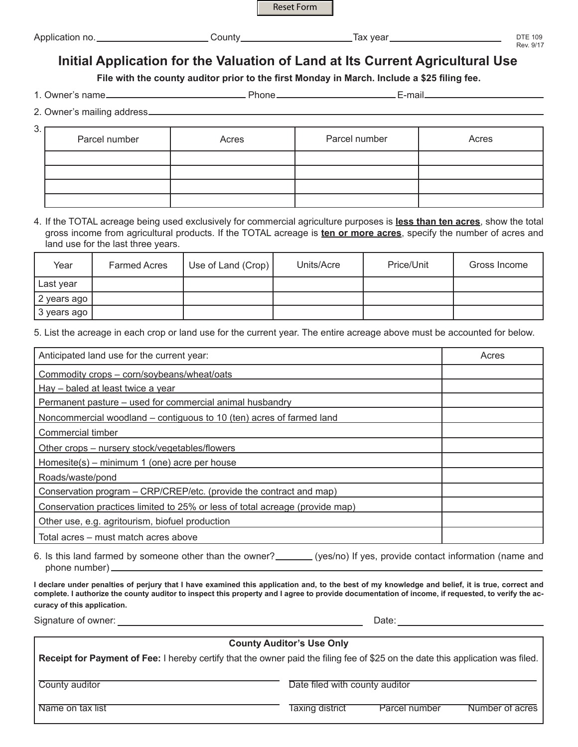

| Application no. | ∶o⊔nt<br>,,,,, | ∶vear<br>тах | $---$<br>$\sqrt{2}$<br>109 |
|-----------------|----------------|--------------|----------------------------|
|                 |                |              | $\bigcap$ /1<br>Rev. 9/    |

## **Initial Application for the Valuation of Land at Its Current Agricultural Use**

**File with the county auditor prior to the first Monday in March. Include a \$25 filing fee.**

1. Owner's name Phone E-mail

2. Owner's mailing address

| 3. | Parcel number | Acres | Parcel number | Acres |
|----|---------------|-------|---------------|-------|
|    |               |       |               |       |
|    |               |       |               |       |
|    |               |       |               |       |
|    |               |       |               |       |

4. If the TOTAL acreage being used exclusively for commercial agriculture purposes is **less than ten acres**, show the total gross income from agricultural products. If the TOTAL acreage is **ten or more acres**, specify the number of acres and land use for the last three years.

| Year        | <b>Farmed Acres</b> | Use of Land (Crop) | Units/Acre | Price/Unit | Gross Income |
|-------------|---------------------|--------------------|------------|------------|--------------|
| Last year   |                     |                    |            |            |              |
| 2 years ago |                     |                    |            |            |              |
| 3 years ago |                     |                    |            |            |              |

5. List the acreage in each crop or land use for the current year. The entire acreage above must be accounted for below.

| Anticipated land use for the current year:                                   | Acres |
|------------------------------------------------------------------------------|-------|
| Commodity crops - corn/soybeans/wheat/oats                                   |       |
| Hay – baled at least twice a year                                            |       |
| Permanent pasture - used for commercial animal husbandry                     |       |
| Noncommercial woodland – contiguous to 10 (ten) acres of farmed land         |       |
| Commercial timber                                                            |       |
| Other crops - nursery stock/vegetables/flowers                               |       |
| Homesite(s) – minimum 1 (one) acre per house                                 |       |
| Roads/waste/pond                                                             |       |
| Conservation program - CRP/CREP/etc. (provide the contract and map)          |       |
| Conservation practices limited to 25% or less of total acreage (provide map) |       |
| Other use, e.g. agritourism, biofuel production                              |       |
| Total acres - must match acres above                                         |       |

| 6. Is this land farmed by someone other than the owner? | (yes/no) If yes, provide contact information (name and |
|---------------------------------------------------------|--------------------------------------------------------|
| phone number)                                           |                                                        |

**I declare under penalties of perjury that I have examined this application and, to the best of my knowledge and belief, it is true, correct and complete. I authorize the county auditor to inspect this property and I agree to provide documentation of income, if requested, to verify the accuracy of this application.**

## **County Auditor's Use Only Receipt for Payment of Fee:** I hereby certify that the owner paid the filing fee of \$25 on the date this application was filed. County auditor **County auditor** Date filed with county auditor Name on tax list Taxing district Parcel number Number of acres